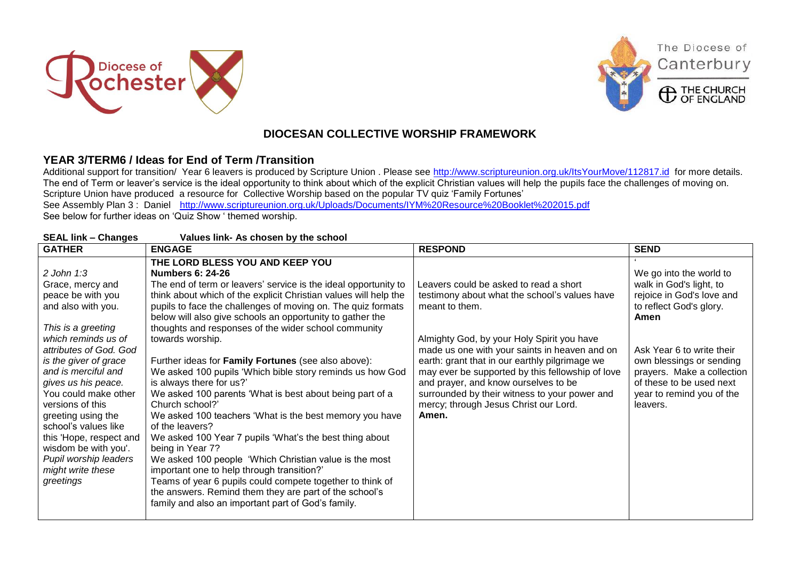





The Diocese of

Canterbury

## **DIOCESAN COLLECTIVE WORSHIP FRAMEWORK**

## **YEAR 3/TERM6 / Ideas for End of Term /Transition**

Additional support for transition/ Year 6 leavers is produced by Scripture Union . Please see<http://www.scriptureunion.org.uk/ItsYourMove/112817.id>for more details. The end of Term or leaver's service is the ideal opportunity to think about which of the explicit Christian values will help the pupils face the challenges of moving on. Scripture Union have produced a resource for Collective Worship based on the popular TV quiz 'Family Fortunes' See Assembly Plan 3 : Daniel <http://www.scriptureunion.org.uk/Uploads/Documents/IYM%20Resource%20Booklet%202015.pdf> See below for further ideas on 'Quiz Show ' themed worship.

| <b>SEAL link - Changes</b>                                                                                                                                                                                                                                                                                                                                                                                                        | Values link- As chosen by the school                                                                                                                                                                                                                                                                                                                                                                                                                                                                                                                                                                                                                                                                                                                                                                                                                                                                                                                                                                                                                                                        |                                                                                                                                                                                                                                                                                                                                                                                                                                                           |                                                                                                                                                                                                                                                                                |
|-----------------------------------------------------------------------------------------------------------------------------------------------------------------------------------------------------------------------------------------------------------------------------------------------------------------------------------------------------------------------------------------------------------------------------------|---------------------------------------------------------------------------------------------------------------------------------------------------------------------------------------------------------------------------------------------------------------------------------------------------------------------------------------------------------------------------------------------------------------------------------------------------------------------------------------------------------------------------------------------------------------------------------------------------------------------------------------------------------------------------------------------------------------------------------------------------------------------------------------------------------------------------------------------------------------------------------------------------------------------------------------------------------------------------------------------------------------------------------------------------------------------------------------------|-----------------------------------------------------------------------------------------------------------------------------------------------------------------------------------------------------------------------------------------------------------------------------------------------------------------------------------------------------------------------------------------------------------------------------------------------------------|--------------------------------------------------------------------------------------------------------------------------------------------------------------------------------------------------------------------------------------------------------------------------------|
| <b>GATHER</b>                                                                                                                                                                                                                                                                                                                                                                                                                     | <b>ENGAGE</b>                                                                                                                                                                                                                                                                                                                                                                                                                                                                                                                                                                                                                                                                                                                                                                                                                                                                                                                                                                                                                                                                               | <b>RESPOND</b>                                                                                                                                                                                                                                                                                                                                                                                                                                            | <b>SEND</b>                                                                                                                                                                                                                                                                    |
| $2$ John 1:3<br>Grace, mercy and<br>peace be with you<br>and also with you.<br>This is a greeting<br>which reminds us of<br>attributes of God. God<br>is the giver of grace<br>and is merciful and<br>gives us his peace.<br>You could make other<br>versions of this<br>greeting using the<br>school's values like<br>this 'Hope, respect and<br>wisdom be with you'.<br>Pupil worship leaders<br>might write these<br>greetings | THE LORD BLESS YOU AND KEEP YOU<br><b>Numbers 6: 24-26</b><br>The end of term or leavers' service is the ideal opportunity to<br>think about which of the explicit Christian values will help the<br>pupils to face the challenges of moving on. The quiz formats<br>below will also give schools an opportunity to gather the<br>thoughts and responses of the wider school community<br>towards worship.<br>Further ideas for Family Fortunes (see also above):<br>We asked 100 pupils 'Which bible story reminds us how God<br>is always there for us?'<br>We asked 100 parents 'What is best about being part of a<br>Church school?'<br>We asked 100 teachers 'What is the best memory you have<br>of the leavers?<br>We asked 100 Year 7 pupils 'What's the best thing about<br>being in Year 7?<br>We asked 100 people 'Which Christian value is the most<br>important one to help through transition?'<br>Teams of year 6 pupils could compete together to think of<br>the answers. Remind them they are part of the school's<br>family and also an important part of God's family. | Leavers could be asked to read a short<br>testimony about what the school's values have<br>meant to them.<br>Almighty God, by your Holy Spirit you have<br>made us one with your saints in heaven and on<br>earth: grant that in our earthly pilgrimage we<br>may ever be supported by this fellowship of love<br>and prayer, and know ourselves to be<br>surrounded by their witness to your power and<br>mercy; through Jesus Christ our Lord.<br>Amen. | We go into the world to<br>walk in God's light, to<br>rejoice in God's love and<br>to reflect God's glory.<br>Amen<br>Ask Year 6 to write their<br>own blessings or sending<br>prayers. Make a collection<br>of these to be used next<br>year to remind you of the<br>leavers. |
|                                                                                                                                                                                                                                                                                                                                                                                                                                   |                                                                                                                                                                                                                                                                                                                                                                                                                                                                                                                                                                                                                                                                                                                                                                                                                                                                                                                                                                                                                                                                                             |                                                                                                                                                                                                                                                                                                                                                                                                                                                           |                                                                                                                                                                                                                                                                                |